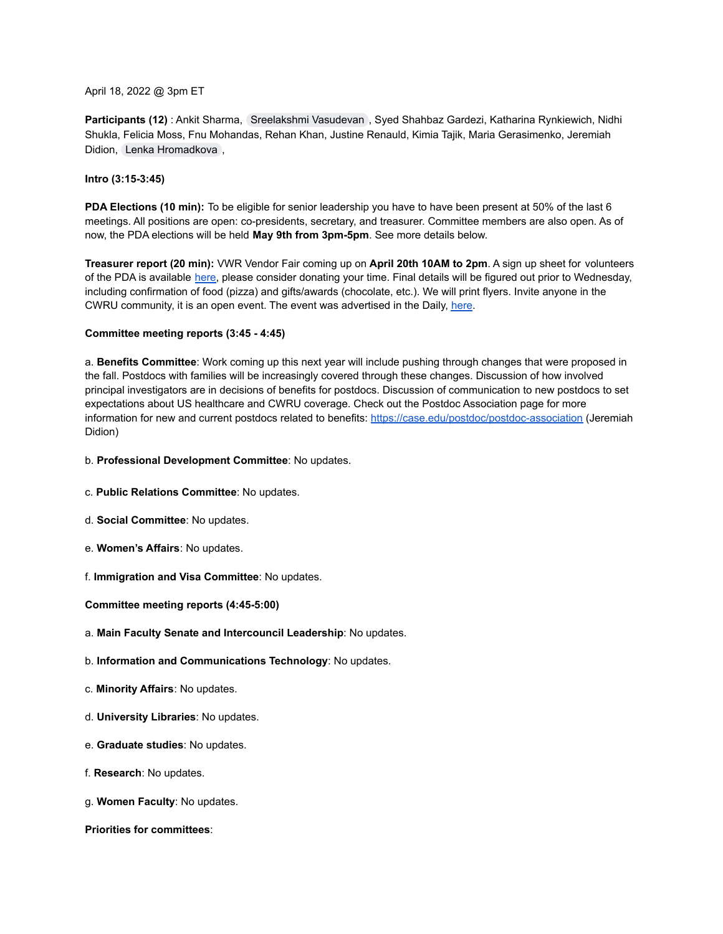## April 18, 2022 @ 3pm ET

**Participants (12)** : Ankit Sharma, [Sreelakshmi Vasudevan](mailto:sxv290@case.edu) , Syed Shahbaz Gardezi, Katharina Rynkiewich, Nidhi Shukla, Felicia Moss, Fnu Mohandas, Rehan Khan, Justine Renauld, Kimia Tajik, Maria Gerasimenko, Jeremiah Didion, [Lenka Hromadkova](mailto:lxh444@case.edu) ,

## **Intro (3:15-3:45)**

**PDA Elections (10 min):** To be eligible for senior leadership you have to have been present at 50% of the last 6 meetings. All positions are open: co-presidents, secretary, and treasurer. Committee members are also open. As of now, the PDA elections will be held **May 9th from 3pm-5pm**. See more details below.

**Treasurer report (20 min):** VWR Vendor Fair coming up on **April 20th 10AM to 2pm**. A sign up sheet for volunteers of the PDA is available [here](https://docs.google.com/document/d/17MLk3fj5HfR7RcAiLX_PW8rziivw-y1lObT8aYvRxdw/edit), please consider donating your time. Final details will be figured out prior to Wednesday, including confirmation of food (pizza) and gifts/awards (chocolate, etc.). We will print flyers. Invite anyone in the CWRU community, it is an open event. The event was advertised in the Daily, [here](https://thedaily.case.edu/vwr-vendor-show-2022/).

# **Committee meeting reports (3:45 - 4:45)**

a. **Benefits Committee**: Work coming up this next year will include pushing through changes that were proposed in the fall. Postdocs with families will be increasingly covered through these changes. Discussion of how involved principal investigators are in decisions of benefits for postdocs. Discussion of communication to new postdocs to set expectations about US healthcare and CWRU coverage. Check out the Postdoc Association page for more information for new and current postdocs related to benefits: <https://case.edu/postdoc/postdoc-association> (Jeremiah Didion)

## b. **Professional Development Committee**: No updates.

- c. **Public Relations Committee**: No updates.
- d. **Social Committee**: No updates.
- e. **Women's Affairs**: No updates.
- f. **Immigration and Visa Committee**: No updates.

**Committee meeting reports (4:45-5:00)**

- a. **Main Faculty Senate and Intercouncil Leadership**: No updates.
- b. **Information and Communications Technology**: No updates.
- c. **Minority Affairs**: No updates.
- d. **University Libraries**: No updates.
- e. **Graduate studies**: No updates.
- f. **Research**: No updates.
- g. **Women Faculty**: No updates.

## **Priorities for committees**: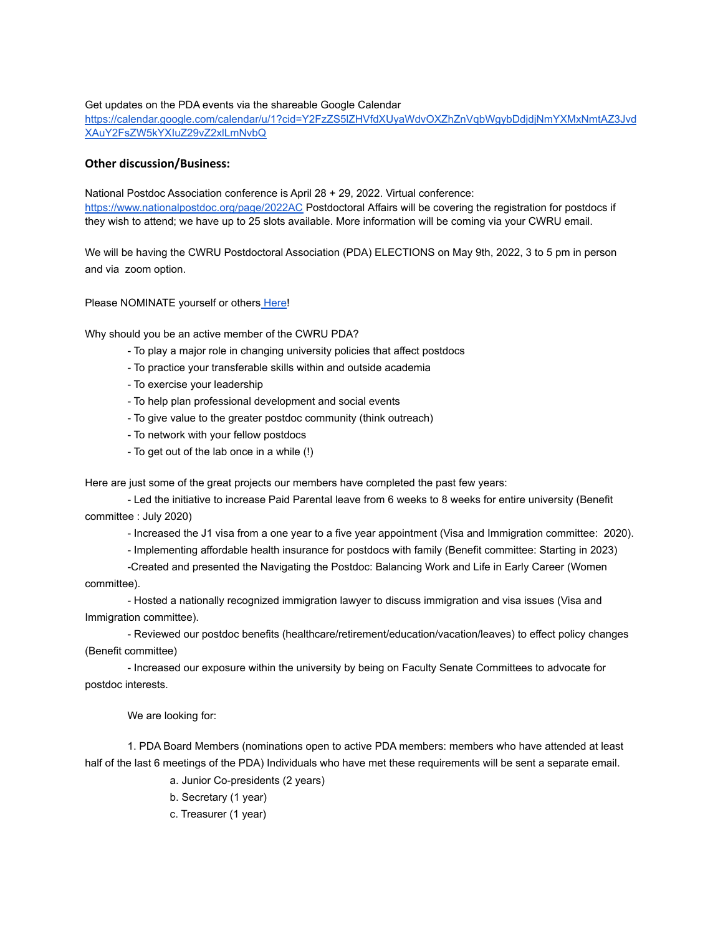## Get updates on the PDA events via the shareable Google Calendar

[https://calendar.google.com/calendar/u/1?cid=Y2FzZS5lZHVfdXUyaWdvOXZhZnVqbWgybDdjdjNmYXMxNmtAZ3Jvd](https://calendar.google.com/calendar/u/1?cid=Y2FzZS5lZHVfdXUyaWdvOXZhZnVqbWgybDdjdjNmYXMxNmtAZ3JvdXAuY2FsZW5kYXIuZ29vZ2xlLmNvbQ) [XAuY2FsZW5kYXIuZ29vZ2xlLmNvbQ](https://calendar.google.com/calendar/u/1?cid=Y2FzZS5lZHVfdXUyaWdvOXZhZnVqbWgybDdjdjNmYXMxNmtAZ3JvdXAuY2FsZW5kYXIuZ29vZ2xlLmNvbQ)

# **Other discussion/Business:**

National Postdoc Association conference is April 28 + 29, 2022. Virtual conference: <https://www.nationalpostdoc.org/page/2022AC> Postdoctoral Affairs will be covering the registration for postdocs if they wish to attend; we have up to 25 slots available. More information will be coming via your CWRU email.

We will be having the CWRU Postdoctoral Association (PDA) ELECTIONS on May 9th, 2022, 3 to 5 pm in person and via zoom option.

Please NOMINATE yourself or others [Here!](https://docs.google.com/forms/d/e/1FAIpQLSf7P6yZSxGO1X6SuXXEcVNip-H1-vblPlBPmXHpN-iyx4x3wA/viewform?usp=sf_link)

Why should you be an active member of the CWRU PDA?

- To play a major role in changing university policies that affect postdocs
- To practice your transferable skills within and outside academia
- To exercise your leadership
- To help plan professional development and social events
- To give value to the greater postdoc community (think outreach)
- To network with your fellow postdocs
- To get out of the lab once in a while (!)

Here are just some of the great projects our members have completed the past few years:

- Led the initiative to increase Paid Parental leave from 6 weeks to 8 weeks for entire university (Benefit committee : July 2020)

- Increased the J1 visa from a one year to a five year appointment (Visa and Immigration committee: 2020).

- Implementing affordable health insurance for postdocs with family (Benefit committee: Starting in 2023)

-Created and presented the Navigating the Postdoc: Balancing Work and Life in Early Career (Women committee).

- Hosted a nationally recognized immigration lawyer to discuss immigration and visa issues (Visa and Immigration committee).

- Reviewed our postdoc benefits (healthcare/retirement/education/vacation/leaves) to effect policy changes (Benefit committee)

- Increased our exposure within the university by being on Faculty Senate Committees to advocate for postdoc interests.

We are looking for:

1. PDA Board Members (nominations open to active PDA members: members who have attended at least half of the last 6 meetings of the PDA) Individuals who have met these requirements will be sent a separate email.

a. Junior Co-presidents (2 years)

- b. Secretary (1 year)
- c. Treasurer (1 year)